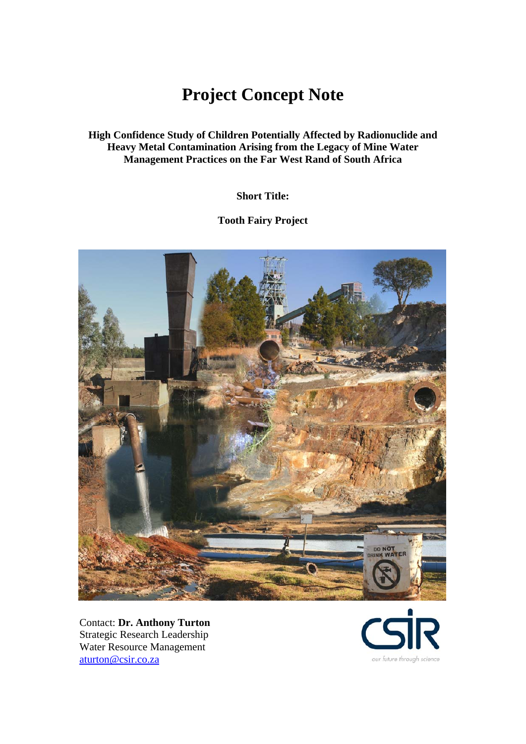# **Project Concept Note**

**High Confidence Study of Children Potentially Affected by Radionuclide and Heavy Metal Contamination Arising from the Legacy of Mine Water Management Practices on the Far West Rand of South Africa** 

**Short Title:** 

**Tooth Fairy Project** 



Contact: **Dr. Anthony Turton** Strategic Research Leadership Water Resource Management aturton@csir.co.za

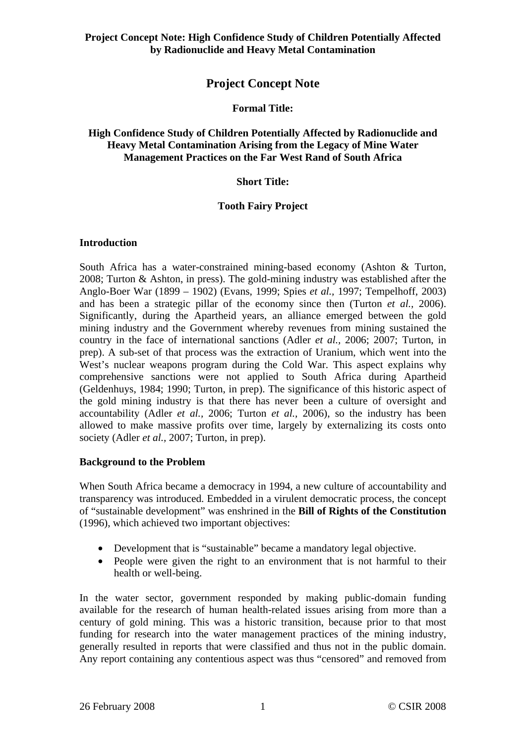## **Project Concept Note**

## **Formal Title:**

#### **High Confidence Study of Children Potentially Affected by Radionuclide and Heavy Metal Contamination Arising from the Legacy of Mine Water Management Practices on the Far West Rand of South Africa**

#### **Short Title:**

#### **Tooth Fairy Project**

#### **Introduction**

South Africa has a water-constrained mining-based economy (Ashton & Turton, 2008; Turton & Ashton, in press). The gold-mining industry was established after the Anglo-Boer War (1899 – 1902) (Evans, 1999; Spies *et al.,* 1997; Tempelhoff, 2003) and has been a strategic pillar of the economy since then (Turton *et al.,* 2006). Significantly, during the Apartheid years, an alliance emerged between the gold mining industry and the Government whereby revenues from mining sustained the country in the face of international sanctions (Adler *et al.,* 2006; 2007; Turton, in prep). A sub-set of that process was the extraction of Uranium, which went into the West's nuclear weapons program during the Cold War. This aspect explains why comprehensive sanctions were not applied to South Africa during Apartheid (Geldenhuys, 1984; 1990; Turton, in prep). The significance of this historic aspect of the gold mining industry is that there has never been a culture of oversight and accountability (Adler *et al.,* 2006; Turton *et al.,* 2006), so the industry has been allowed to make massive profits over time, largely by externalizing its costs onto society (Adler *et al.,* 2007; Turton, in prep).

## **Background to the Problem**

When South Africa became a democracy in 1994, a new culture of accountability and transparency was introduced. Embedded in a virulent democratic process, the concept of "sustainable development" was enshrined in the **Bill of Rights of the Constitution** (1996), which achieved two important objectives:

- Development that is "sustainable" became a mandatory legal objective.
- People were given the right to an environment that is not harmful to their health or well-being.

In the water sector, government responded by making public-domain funding available for the research of human health-related issues arising from more than a century of gold mining. This was a historic transition, because prior to that most funding for research into the water management practices of the mining industry, generally resulted in reports that were classified and thus not in the public domain. Any report containing any contentious aspect was thus "censored" and removed from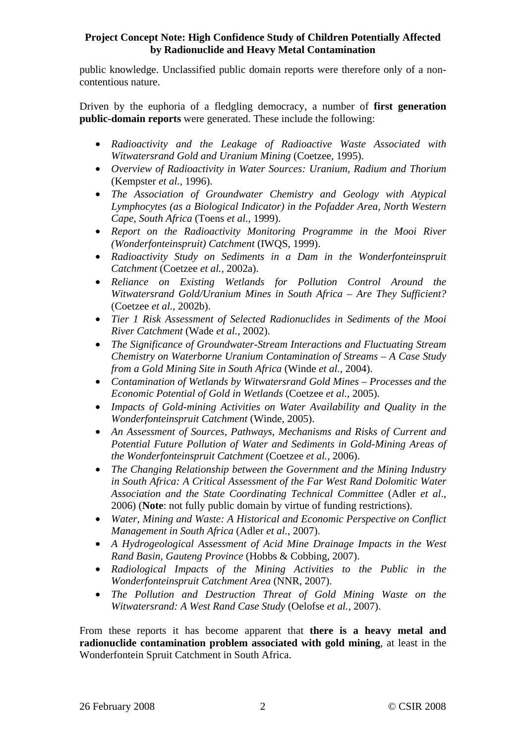public knowledge. Unclassified public domain reports were therefore only of a noncontentious nature.

Driven by the euphoria of a fledgling democracy, a number of **first generation public-domain reports** were generated. These include the following:

- *Radioactivity and the Leakage of Radioactive Waste Associated with Witwatersrand Gold and Uranium Mining* (Coetzee, 1995).
- *Overview of Radioactivity in Water Sources: Uranium, Radium and Thorium* (Kempster *et al.,* 1996).
- *The Association of Groundwater Chemistry and Geology with Atypical Lymphocytes (as a Biological Indicator) in the Pofadder Area, North Western Cape, South Africa* (Toens *et al.,* 1999).
- *Report on the Radioactivity Monitoring Programme in the Mooi River (Wonderfonteinspruit) Catchment* (IWQS, 1999).
- *Radioactivity Study on Sediments in a Dam in the Wonderfonteinspruit Catchment* (Coetzee *et al.,* 2002a).
- *Reliance on Existing Wetlands for Pollution Control Around the Witwatersrand Gold/Uranium Mines in South Africa – Are They Sufficient?* (Coetzee *et al.,* 2002b).
- *Tier 1 Risk Assessment of Selected Radionuclides in Sediments of the Mooi River Catchment* (Wade *et al.,* 2002).
- *The Significance of Groundwater-Stream Interactions and Fluctuating Stream Chemistry on Waterborne Uranium Contamination of Streams – A Case Study from a Gold Mining Site in South Africa* (Winde *et al.,* 2004).
- *Contamination of Wetlands by Witwatersrand Gold Mines Processes and the Economic Potential of Gold in Wetlands* (Coetzee *et al.,* 2005).
- *Impacts of Gold-mining Activities on Water Availability and Quality in the Wonderfonteinspruit Catchment* (Winde, 2005).
- *An Assessment of Sources, Pathways, Mechanisms and Risks of Current and Potential Future Pollution of Water and Sediments in Gold-Mining Areas of the Wonderfonteinspruit Catchment* (Coetzee *et al.,* 2006).
- *The Changing Relationship between the Government and the Mining Industry in South Africa: A Critical Assessment of the Far West Rand Dolomitic Water Association and the State Coordinating Technical Committee* (Adler *et al*., 2006) (**Note**: not fully public domain by virtue of funding restrictions).
- *Water, Mining and Waste: A Historical and Economic Perspective on Conflict Management in South Africa* (Adler *et al.,* 2007).
- *A Hydrogeological Assessment of Acid Mine Drainage Impacts in the West Rand Basin, Gauteng Province* (Hobbs & Cobbing, 2007).
- *Radiological Impacts of the Mining Activities to the Public in the Wonderfonteinspruit Catchment Area* (NNR, 2007).
- *The Pollution and Destruction Threat of Gold Mining Waste on the Witwatersrand: A West Rand Case Study* (Oelofse *et al.,* 2007).

From these reports it has become apparent that **there is a heavy metal and radionuclide contamination problem associated with gold mining**, at least in the Wonderfontein Spruit Catchment in South Africa.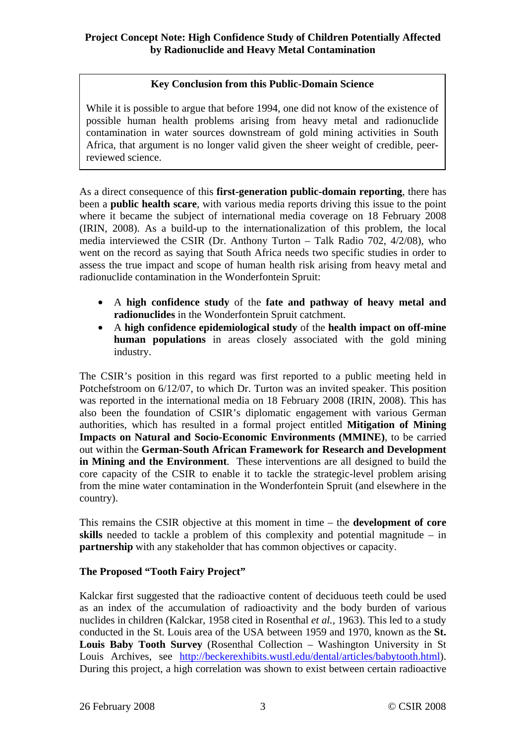## **Key Conclusion from this Public-Domain Science**

While it is possible to argue that before 1994, one did not know of the existence of possible human health problems arising from heavy metal and radionuclide contamination in water sources downstream of gold mining activities in South Africa, that argument is no longer valid given the sheer weight of credible, peerreviewed science.

As a direct consequence of this **first-generation public-domain reporting**, there has been a **public health scare**, with various media reports driving this issue to the point where it became the subject of international media coverage on 18 February 2008 (IRIN, 2008). As a build-up to the internationalization of this problem, the local media interviewed the CSIR (Dr. Anthony Turton – Talk Radio 702, 4/2/08), who went on the record as saying that South Africa needs two specific studies in order to assess the true impact and scope of human health risk arising from heavy metal and radionuclide contamination in the Wonderfontein Spruit:

- A **high confidence study** of the **fate and pathway of heavy metal and radionuclides** in the Wonderfontein Spruit catchment.
- A **high confidence epidemiological study** of the **health impact on off-mine human populations** in areas closely associated with the gold mining industry.

The CSIR's position in this regard was first reported to a public meeting held in Potchefstroom on 6/12/07, to which Dr. Turton was an invited speaker. This position was reported in the international media on 18 February 2008 (IRIN, 2008). This has also been the foundation of CSIR's diplomatic engagement with various German authorities, which has resulted in a formal project entitled **Mitigation of Mining Impacts on Natural and Socio-Economic Environments (MMINE)**, to be carried out within the **German-South African Framework for Research and Development in Mining and the Environment**. These interventions are all designed to build the core capacity of the CSIR to enable it to tackle the strategic-level problem arising from the mine water contamination in the Wonderfontein Spruit (and elsewhere in the country).

This remains the CSIR objective at this moment in time – the **development of core skills** needed to tackle a problem of this complexity and potential magnitude – in **partnership** with any stakeholder that has common objectives or capacity.

## **The Proposed "Tooth Fairy Project"**

Kalckar first suggested that the radioactive content of deciduous teeth could be used as an index of the accumulation of radioactivity and the body burden of various nuclides in children (Kalckar, 1958 cited in Rosenthal *et al.,* 1963). This led to a study conducted in the St. Louis area of the USA between 1959 and 1970, known as the **St. Louis Baby Tooth Survey** (Rosenthal Collection – Washington University in St Louis Archives, see http://beckerexhibits.wustl.edu/dental/articles/babytooth.html). During this project, a high correlation was shown to exist between certain radioactive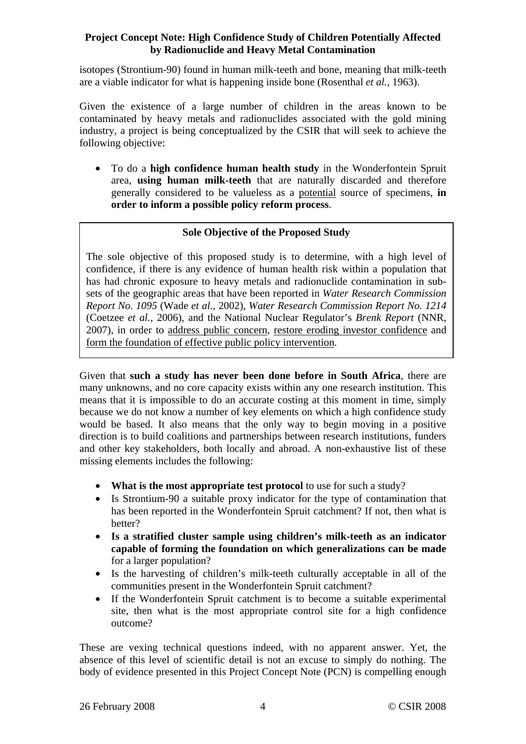isotopes (Strontium-90) found in human milk-teeth and bone, meaning that milk-teeth are a viable indicator for what is happening inside bone (Rosenthal *et al.,* 1963).

Given the existence of a large number of children in the areas known to be contaminated by heavy metals and radionuclides associated with the gold mining industry, a project is being conceptualized by the CSIR that will seek to achieve the following objective:

• To do a **high confidence human health study** in the Wonderfontein Spruit area, **using human milk-teeth** that are naturally discarded and therefore generally considered to be valueless as a potential source of specimens, **in order to inform a possible policy reform process**.

## **Sole Objective of the Proposed Study**

The sole objective of this proposed study is to determine, with a high level of confidence, if there is any evidence of human health risk within a population that has had chronic exposure to heavy metals and radionuclide contamination in subsets of the geographic areas that have been reported in *Water Research Commission Report No. 1095* (Wade *et al.,* 2002), *Water Research Commission Report No. 1214* (Coetzee *et al.,* 2006), and the National Nuclear Regulator's *Brenk Report* (NNR, 2007), in order to address public concern, restore eroding investor confidence and form the foundation of effective public policy intervention.

Given that **such a study has never been done before in South Africa**, there are many unknowns, and no core capacity exists within any one research institution. This means that it is impossible to do an accurate costing at this moment in time, simply because we do not know a number of key elements on which a high confidence study would be based. It also means that the only way to begin moving in a positive direction is to build coalitions and partnerships between research institutions, funders and other key stakeholders, both locally and abroad. A non-exhaustive list of these missing elements includes the following:

- **What is the most appropriate test protocol** to use for such a study?
- Is Strontium-90 a suitable proxy indicator for the type of contamination that has been reported in the Wonderfontein Spruit catchment? If not, then what is better?
- **Is a stratified cluster sample using children's milk-teeth as an indicator capable of forming the foundation on which generalizations can be made** for a larger population?
- Is the harvesting of children's milk-teeth culturally acceptable in all of the communities present in the Wonderfontein Spruit catchment?
- If the Wonderfontein Spruit catchment is to become a suitable experimental site, then what is the most appropriate control site for a high confidence outcome?

These are vexing technical questions indeed, with no apparent answer. Yet, the absence of this level of scientific detail is not an excuse to simply do nothing. The body of evidence presented in this Project Concept Note (PCN) is compelling enough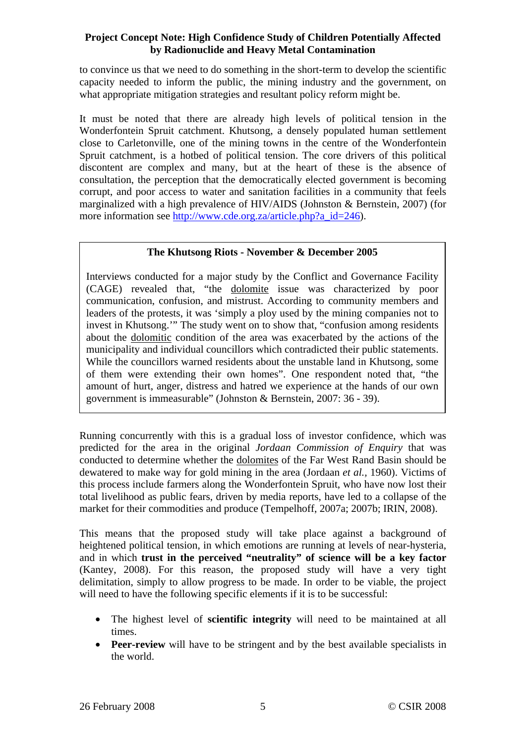to convince us that we need to do something in the short-term to develop the scientific capacity needed to inform the public, the mining industry and the government, on what appropriate mitigation strategies and resultant policy reform might be.

It must be noted that there are already high levels of political tension in the Wonderfontein Spruit catchment. Khutsong, a densely populated human settlement close to Carletonville, one of the mining towns in the centre of the Wonderfontein Spruit catchment, is a hotbed of political tension. The core drivers of this political discontent are complex and many, but at the heart of these is the absence of consultation, the perception that the democratically elected government is becoming corrupt, and poor access to water and sanitation facilities in a community that feels marginalized with a high prevalence of HIV/AIDS (Johnston & Bernstein, 2007) (for more information see http://www.cde.org.za/article.php?a\_id=246).

## **The Khutsong Riots - November & December 2005**

Interviews conducted for a major study by the Conflict and Governance Facility (CAGE) revealed that, "the dolomite issue was characterized by poor communication, confusion, and mistrust. According to community members and leaders of the protests, it was 'simply a ploy used by the mining companies not to invest in Khutsong.'" The study went on to show that, "confusion among residents about the dolomitic condition of the area was exacerbated by the actions of the municipality and individual councillors which contradicted their public statements. While the councillors warned residents about the unstable land in Khutsong, some of them were extending their own homes". One respondent noted that, "the amount of hurt, anger, distress and hatred we experience at the hands of our own government is immeasurable" (Johnston & Bernstein, 2007: 36 - 39).

Running concurrently with this is a gradual loss of investor confidence, which was predicted for the area in the original *Jordaan Commission of Enquiry* that was conducted to determine whether the dolomites of the Far West Rand Basin should be dewatered to make way for gold mining in the area (Jordaan *et al.,* 1960). Victims of this process include farmers along the Wonderfontein Spruit, who have now lost their total livelihood as public fears, driven by media reports, have led to a collapse of the market for their commodities and produce (Tempelhoff, 2007a; 2007b; IRIN, 2008).

This means that the proposed study will take place against a background of heightened political tension, in which emotions are running at levels of near-hysteria, and in which **trust in the perceived "neutrality" of science will be a key factor** (Kantey, 2008). For this reason, the proposed study will have a very tight delimitation, simply to allow progress to be made. In order to be viable, the project will need to have the following specific elements if it is to be successful:

- The highest level of **scientific integrity** will need to be maintained at all times.
- **Peer-review** will have to be stringent and by the best available specialists in the world.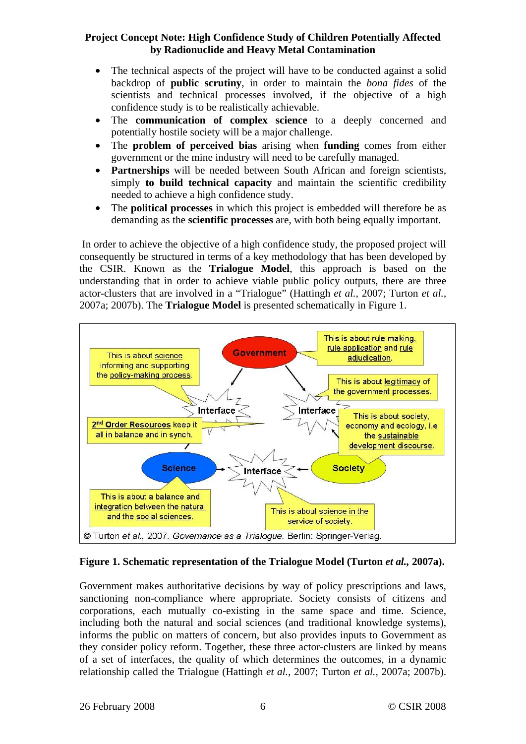- The technical aspects of the project will have to be conducted against a solid backdrop of **public scrutiny**, in order to maintain the *bona fides* of the scientists and technical processes involved, if the objective of a high confidence study is to be realistically achievable.
- The **communication of complex science** to a deeply concerned and potentially hostile society will be a major challenge.
- The **problem of perceived bias** arising when **funding** comes from either government or the mine industry will need to be carefully managed.
- **Partnerships** will be needed between South African and foreign scientists, simply **to build technical capacity** and maintain the scientific credibility needed to achieve a high confidence study.
- The **political processes** in which this project is embedded will therefore be as demanding as the **scientific processes** are, with both being equally important.

 In order to achieve the objective of a high confidence study, the proposed project will consequently be structured in terms of a key methodology that has been developed by the CSIR. Known as the **Trialogue Model**, this approach is based on the understanding that in order to achieve viable public policy outputs, there are three actor-clusters that are involved in a "Trialogue" (Hattingh *et al.,* 2007; Turton *et al.,* 2007a; 2007b). The **Trialogue Model** is presented schematically in Figure 1.



## **Figure 1. Schematic representation of the Trialogue Model (Turton** *et al.,* **2007a).**

Government makes authoritative decisions by way of policy prescriptions and laws, sanctioning non-compliance where appropriate. Society consists of citizens and corporations, each mutually co-existing in the same space and time. Science, including both the natural and social sciences (and traditional knowledge systems), informs the public on matters of concern, but also provides inputs to Government as they consider policy reform. Together, these three actor-clusters are linked by means of a set of interfaces, the quality of which determines the outcomes, in a dynamic relationship called the Trialogue (Hattingh *et al.,* 2007; Turton *et al.,* 2007a; 2007b).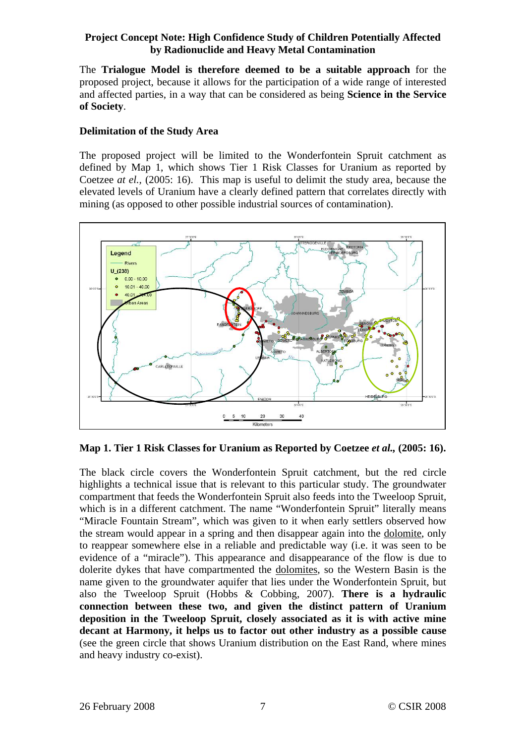The **Trialogue Model is therefore deemed to be a suitable approach** for the proposed project, because it allows for the participation of a wide range of interested and affected parties, in a way that can be considered as being **Science in the Service of Society**.

## **Delimitation of the Study Area**

The proposed project will be limited to the Wonderfontein Spruit catchment as defined by Map 1, which shows Tier 1 Risk Classes for Uranium as reported by Coetzee *at el.,* (2005: 16). This map is useful to delimit the study area, because the elevated levels of Uranium have a clearly defined pattern that correlates directly with mining (as opposed to other possible industrial sources of contamination).



**Map 1. Tier 1 Risk Classes for Uranium as Reported by Coetzee** *et al.,* **(2005: 16).**

The black circle covers the Wonderfontein Spruit catchment, but the red circle highlights a technical issue that is relevant to this particular study. The groundwater compartment that feeds the Wonderfontein Spruit also feeds into the Tweeloop Spruit, which is in a different catchment. The name "Wonderfontein Spruit" literally means "Miracle Fountain Stream", which was given to it when early settlers observed how the stream would appear in a spring and then disappear again into the dolomite, only to reappear somewhere else in a reliable and predictable way (i.e. it was seen to be evidence of a "miracle"). This appearance and disappearance of the flow is due to dolerite dykes that have compartmented the dolomites, so the Western Basin is the name given to the groundwater aquifer that lies under the Wonderfontein Spruit, but also the Tweeloop Spruit (Hobbs & Cobbing, 2007). **There is a hydraulic connection between these two, and given the distinct pattern of Uranium deposition in the Tweeloop Spruit, closely associated as it is with active mine decant at Harmony, it helps us to factor out other industry as a possible cause** (see the green circle that shows Uranium distribution on the East Rand, where mines and heavy industry co-exist).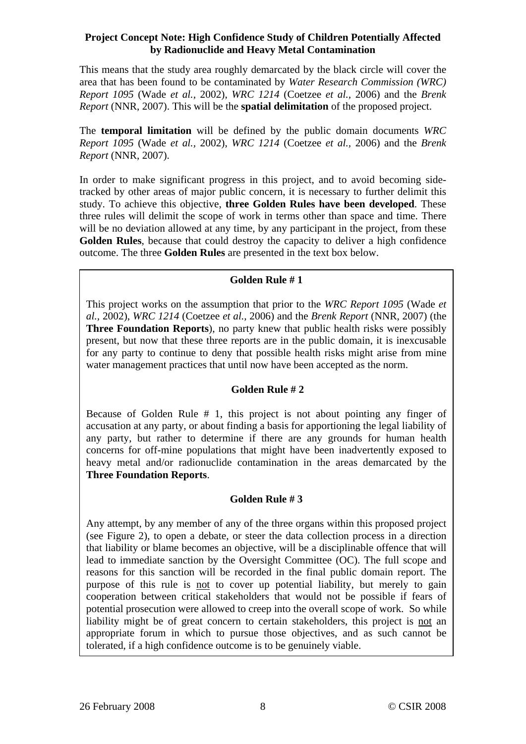This means that the study area roughly demarcated by the black circle will cover the area that has been found to be contaminated by *Water Research Commission (WRC) Report 1095* (Wade *et al.,* 2002), *WRC 1214* (Coetzee *et al.,* 2006) and the *Brenk Report* (NNR, 2007). This will be the **spatial delimitation** of the proposed project.

The **temporal limitation** will be defined by the public domain documents *WRC Report 1095* (Wade *et al.,* 2002), *WRC 1214* (Coetzee *et al.,* 2006) and the *Brenk Report* (NNR, 2007).

In order to make significant progress in this project, and to avoid becoming sidetracked by other areas of major public concern, it is necessary to further delimit this study. To achieve this objective, **three Golden Rules have been developed**. These three rules will delimit the scope of work in terms other than space and time. There will be no deviation allowed at any time, by any participant in the project, from these **Golden Rules**, because that could destroy the capacity to deliver a high confidence outcome. The three **Golden Rules** are presented in the text box below.

## **Golden Rule # 1**

This project works on the assumption that prior to the *WRC Report 1095* (Wade *et al.,* 2002), *WRC 1214* (Coetzee *et al.,* 2006) and the *Brenk Report* (NNR, 2007) (the **Three Foundation Reports**), no party knew that public health risks were possibly present, but now that these three reports are in the public domain, it is inexcusable for any party to continue to deny that possible health risks might arise from mine water management practices that until now have been accepted as the norm.

## **Golden Rule # 2**

Because of Golden Rule # 1, this project is not about pointing any finger of accusation at any party, or about finding a basis for apportioning the legal liability of any party, but rather to determine if there are any grounds for human health concerns for off-mine populations that might have been inadvertently exposed to heavy metal and/or radionuclide contamination in the areas demarcated by the **Three Foundation Reports**.

## **Golden Rule # 3**

Any attempt, by any member of any of the three organs within this proposed project (see Figure 2), to open a debate, or steer the data collection process in a direction that liability or blame becomes an objective, will be a disciplinable offence that will lead to immediate sanction by the Oversight Committee (OC). The full scope and reasons for this sanction will be recorded in the final public domain report. The purpose of this rule is not to cover up potential liability, but merely to gain cooperation between critical stakeholders that would not be possible if fears of potential prosecution were allowed to creep into the overall scope of work. So while liability might be of great concern to certain stakeholders, this project is not an appropriate forum in which to pursue those objectives, and as such cannot be tolerated, if a high confidence outcome is to be genuinely viable.

 $\overline{\phantom{a}}$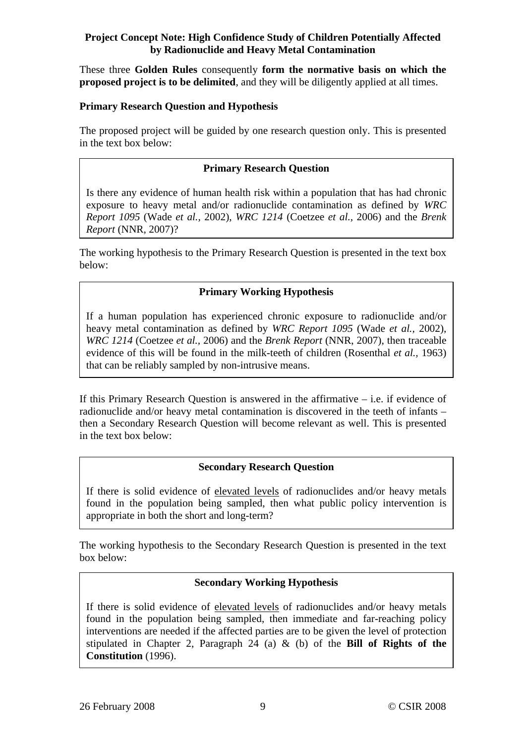These three **Golden Rules** consequently **form the normative basis on which the proposed project is to be delimited**, and they will be diligently applied at all times.

## **Primary Research Question and Hypothesis**

The proposed project will be guided by one research question only. This is presented in the text box below:

## **Primary Research Question**

Is there any evidence of human health risk within a population that has had chronic exposure to heavy metal and/or radionuclide contamination as defined by *WRC Report 1095* (Wade *et al.,* 2002), *WRC 1214* (Coetzee *et al.,* 2006) and the *Brenk Report* (NNR, 2007)?

The working hypothesis to the Primary Research Question is presented in the text box below:

## **Primary Working Hypothesis**

If a human population has experienced chronic exposure to radionuclide and/or heavy metal contamination as defined by *WRC Report 1095* (Wade *et al.,* 2002), *WRC 1214* (Coetzee *et al.,* 2006) and the *Brenk Report* (NNR, 2007), then traceable evidence of this will be found in the milk-teeth of children (Rosenthal *et al.,* 1963) that can be reliably sampled by non-intrusive means.

If this Primary Research Question is answered in the affirmative – i.e. if evidence of radionuclide and/or heavy metal contamination is discovered in the teeth of infants – then a Secondary Research Question will become relevant as well. This is presented in the text box below:

## **Secondary Research Question**

If there is solid evidence of elevated levels of radionuclides and/or heavy metals found in the population being sampled, then what public policy intervention is appropriate in both the short and long-term?

The working hypothesis to the Secondary Research Question is presented in the text box below:

## **Secondary Working Hypothesis**

If there is solid evidence of elevated levels of radionuclides and/or heavy metals found in the population being sampled, then immediate and far-reaching policy interventions are needed if the affected parties are to be given the level of protection stipulated in Chapter 2, Paragraph 24 (a) & (b) of the **Bill of Rights of the Constitution** (1996).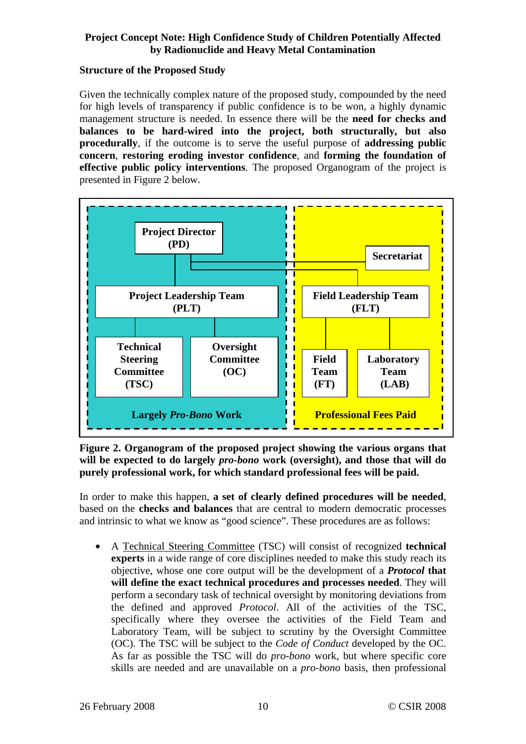#### **Structure of the Proposed Study**

Given the technically complex nature of the proposed study, compounded by the need for high levels of transparency if public confidence is to be won, a highly dynamic management structure is needed. In essence there will be the **need for checks and balances to be hard-wired into the project, both structurally, but also procedurally**, if the outcome is to serve the useful purpose of **addressing public concern**, **restoring eroding investor confidence**, and **forming the foundation of effective public policy interventions**. The proposed Organogram of the project is presented in Figure 2 below.



**Figure 2. Organogram of the proposed project showing the various organs that will be expected to do largely** *pro-bono* **work (oversight), and those that will do purely professional work, for which standard professional fees will be paid.** 

In order to make this happen, **a set of clearly defined procedures will be needed**, based on the **checks and balances** that are central to modern democratic processes and intrinsic to what we know as "good science". These procedures are as follows:

• A Technical Steering Committee (TSC) will consist of recognized **technical experts** in a wide range of core disciplines needed to make this study reach its objective, whose one core output will be the development of a *Protocol* **that will define the exact technical procedures and processes needed**. They will perform a secondary task of technical oversight by monitoring deviations from the defined and approved *Protocol*. All of the activities of the TSC, specifically where they oversee the activities of the Field Team and Laboratory Team, will be subject to scrutiny by the Oversight Committee (OC). The TSC will be subject to the *Code of Conduct* developed by the OC. As far as possible the TSC will do *pro-bono* work, but where specific core skills are needed and are unavailable on a *pro-bono* basis, then professional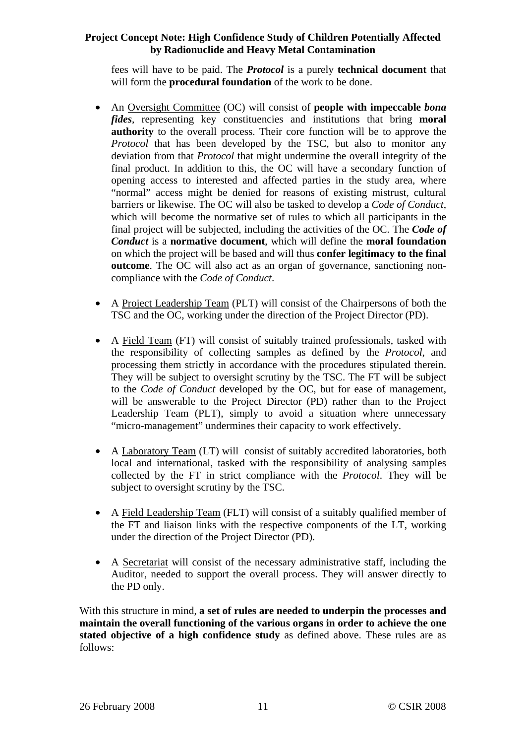fees will have to be paid. The *Protocol* is a purely **technical document** that will form the **procedural foundation** of the work to be done.

- An Oversight Committee (OC) will consist of **people with impeccable** *bona fides*, representing key constituencies and institutions that bring **moral authority** to the overall process. Their core function will be to approve the *Protocol* that has been developed by the TSC, but also to monitor any deviation from that *Protocol* that might undermine the overall integrity of the final product. In addition to this, the OC will have a secondary function of opening access to interested and affected parties in the study area, where "normal" access might be denied for reasons of existing mistrust, cultural barriers or likewise. The OC will also be tasked to develop a *Code of Conduct*, which will become the normative set of rules to which all participants in the final project will be subjected, including the activities of the OC. The *Code of Conduct* is a **normative document**, which will define the **moral foundation** on which the project will be based and will thus **confer legitimacy to the final outcome**. The OC will also act as an organ of governance, sanctioning noncompliance with the *Code of Conduct*.
- A Project Leadership Team (PLT) will consist of the Chairpersons of both the TSC and the OC, working under the direction of the Project Director (PD).
- A Field Team (FT) will consist of suitably trained professionals, tasked with the responsibility of collecting samples as defined by the *Protocol*, and processing them strictly in accordance with the procedures stipulated therein. They will be subject to oversight scrutiny by the TSC. The FT will be subject to the *Code of Conduct* developed by the OC, but for ease of management, will be answerable to the Project Director (PD) rather than to the Project Leadership Team (PLT), simply to avoid a situation where unnecessary "micro-management" undermines their capacity to work effectively.
- A Laboratory Team (LT) will consist of suitably accredited laboratories, both local and international, tasked with the responsibility of analysing samples collected by the FT in strict compliance with the *Protocol*. They will be subject to oversight scrutiny by the TSC.
- A Field Leadership Team (FLT) will consist of a suitably qualified member of the FT and liaison links with the respective components of the LT, working under the direction of the Project Director (PD).
- A Secretariat will consist of the necessary administrative staff, including the Auditor, needed to support the overall process. They will answer directly to the PD only.

With this structure in mind, **a set of rules are needed to underpin the processes and maintain the overall functioning of the various organs in order to achieve the one stated objective of a high confidence study** as defined above. These rules are as follows: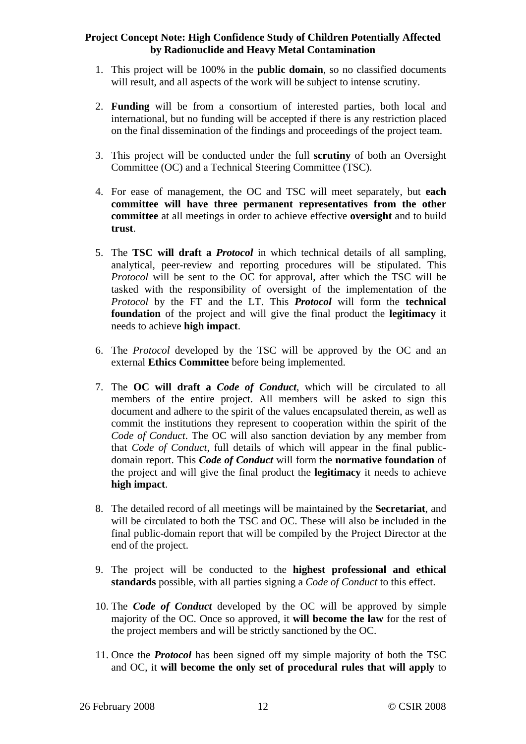- 1. This project will be 100% in the **public domain**, so no classified documents will result, and all aspects of the work will be subject to intense scrutiny.
- 2. **Funding** will be from a consortium of interested parties, both local and international, but no funding will be accepted if there is any restriction placed on the final dissemination of the findings and proceedings of the project team.
- 3. This project will be conducted under the full **scrutiny** of both an Oversight Committee (OC) and a Technical Steering Committee (TSC).
- 4. For ease of management, the OC and TSC will meet separately, but **each committee will have three permanent representatives from the other committee** at all meetings in order to achieve effective **oversight** and to build **trust**.
- 5. The **TSC will draft a** *Protocol* in which technical details of all sampling, analytical, peer-review and reporting procedures will be stipulated. This *Protocol* will be sent to the OC for approval, after which the TSC will be tasked with the responsibility of oversight of the implementation of the *Protocol* by the FT and the LT. This *Protocol* will form the **technical foundation** of the project and will give the final product the **legitimacy** it needs to achieve **high impact**.
- 6. The *Protocol* developed by the TSC will be approved by the OC and an external **Ethics Committee** before being implemented.
- 7. The **OC will draft a** *Code of Conduct*, which will be circulated to all members of the entire project. All members will be asked to sign this document and adhere to the spirit of the values encapsulated therein, as well as commit the institutions they represent to cooperation within the spirit of the *Code of Conduct*. The OC will also sanction deviation by any member from that *Code of Conduct*, full details of which will appear in the final publicdomain report. This *Code of Conduct* will form the **normative foundation** of the project and will give the final product the **legitimacy** it needs to achieve **high impact**.
- 8. The detailed record of all meetings will be maintained by the **Secretariat**, and will be circulated to both the TSC and OC. These will also be included in the final public-domain report that will be compiled by the Project Director at the end of the project.
- 9. The project will be conducted to the **highest professional and ethical standards** possible, with all parties signing a *Code of Conduct* to this effect.
- 10. The *Code of Conduct* developed by the OC will be approved by simple majority of the OC. Once so approved, it **will become the law** for the rest of the project members and will be strictly sanctioned by the OC.
- 11. Once the *Protocol* has been signed off my simple majority of both the TSC and OC, it **will become the only set of procedural rules that will apply** to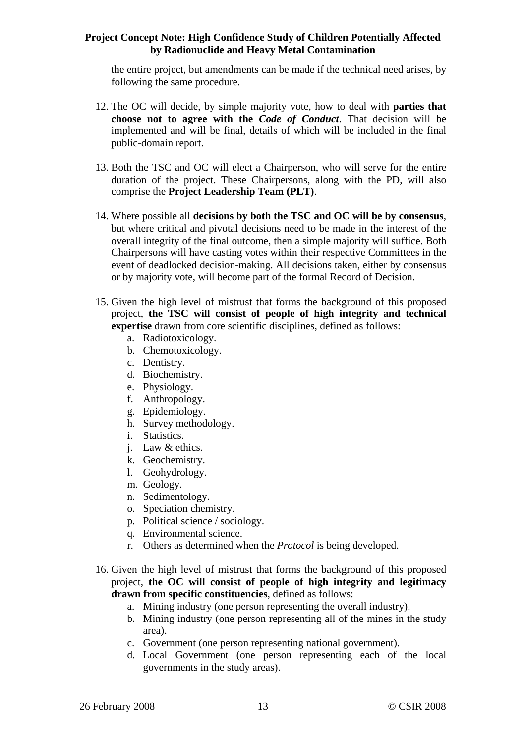the entire project, but amendments can be made if the technical need arises, by following the same procedure.

- 12. The OC will decide, by simple majority vote, how to deal with **parties that choose not to agree with the** *Code of Conduct*. That decision will be implemented and will be final, details of which will be included in the final public-domain report.
- 13. Both the TSC and OC will elect a Chairperson, who will serve for the entire duration of the project. These Chairpersons, along with the PD, will also comprise the **Project Leadership Team (PLT)**.
- 14. Where possible all **decisions by both the TSC and OC will be by consensus**, but where critical and pivotal decisions need to be made in the interest of the overall integrity of the final outcome, then a simple majority will suffice. Both Chairpersons will have casting votes within their respective Committees in the event of deadlocked decision-making. All decisions taken, either by consensus or by majority vote, will become part of the formal Record of Decision.
- 15. Given the high level of mistrust that forms the background of this proposed project, **the TSC will consist of people of high integrity and technical expertise** drawn from core scientific disciplines, defined as follows:
	- a. Radiotoxicology.
	- b. Chemotoxicology.
	- c. Dentistry.
	- d. Biochemistry.
	- e. Physiology.
	- f. Anthropology.
	- g. Epidemiology.
	- h. Survey methodology.
	- i. Statistics.
	- j. Law & ethics.
	- k. Geochemistry.
	- l. Geohydrology.
	- m. Geology.
	- n. Sedimentology.
	- o. Speciation chemistry.
	- p. Political science / sociology.
	- q. Environmental science.
	- r. Others as determined when the *Protocol* is being developed.
- 16. Given the high level of mistrust that forms the background of this proposed project, **the OC will consist of people of high integrity and legitimacy drawn from specific constituencies**, defined as follows:
	- a. Mining industry (one person representing the overall industry).
	- b. Mining industry (one person representing all of the mines in the study area).
	- c. Government (one person representing national government).
	- d. Local Government (one person representing each of the local governments in the study areas).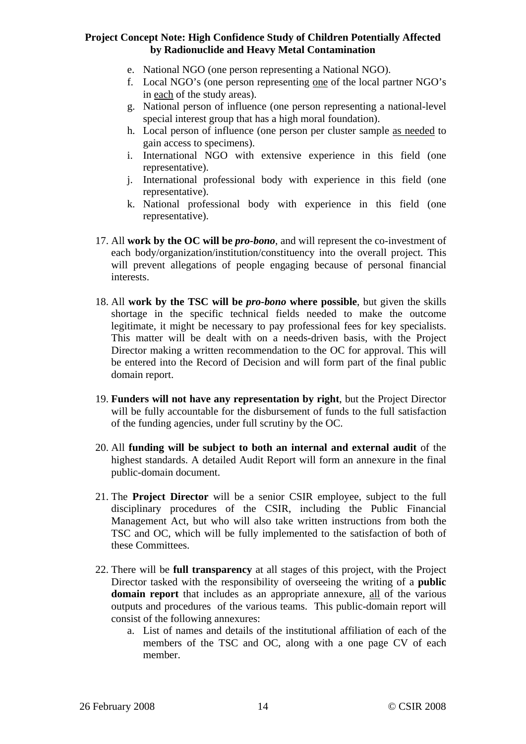- e. National NGO (one person representing a National NGO).
- f. Local NGO's (one person representing one of the local partner NGO's in each of the study areas).
- g. National person of influence (one person representing a national-level special interest group that has a high moral foundation).
- h. Local person of influence (one person per cluster sample as needed to gain access to specimens).
- i. International NGO with extensive experience in this field (one representative).
- j. International professional body with experience in this field (one representative).
- k. National professional body with experience in this field (one representative).
- 17. All **work by the OC will be** *pro-bono*, and will represent the co-investment of each body/organization/institution/constituency into the overall project. This will prevent allegations of people engaging because of personal financial interests.
- 18. All **work by the TSC will be** *pro-bono* **where possible**, but given the skills shortage in the specific technical fields needed to make the outcome legitimate, it might be necessary to pay professional fees for key specialists. This matter will be dealt with on a needs-driven basis, with the Project Director making a written recommendation to the OC for approval. This will be entered into the Record of Decision and will form part of the final public domain report.
- 19. **Funders will not have any representation by right**, but the Project Director will be fully accountable for the disbursement of funds to the full satisfaction of the funding agencies, under full scrutiny by the OC.
- 20. All **funding will be subject to both an internal and external audit** of the highest standards. A detailed Audit Report will form an annexure in the final public-domain document.
- 21. The **Project Director** will be a senior CSIR employee, subject to the full disciplinary procedures of the CSIR, including the Public Financial Management Act, but who will also take written instructions from both the TSC and OC, which will be fully implemented to the satisfaction of both of these Committees.
- 22. There will be **full transparency** at all stages of this project, with the Project Director tasked with the responsibility of overseeing the writing of a **public domain report** that includes as an appropriate annexure, all of the various outputs and procedures of the various teams. This public-domain report will consist of the following annexures:
	- a. List of names and details of the institutional affiliation of each of the members of the TSC and OC, along with a one page CV of each member.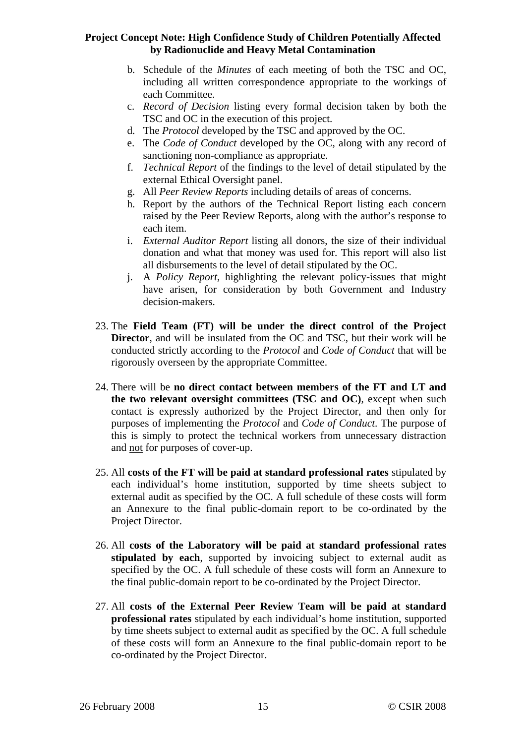- b. Schedule of the *Minutes* of each meeting of both the TSC and OC, including all written correspondence appropriate to the workings of each Committee.
- c. *Record of Decision* listing every formal decision taken by both the TSC and OC in the execution of this project.
- d. The *Protocol* developed by the TSC and approved by the OC.
- e. The *Code of Conduct* developed by the OC, along with any record of sanctioning non-compliance as appropriate.
- f. *Technical Report* of the findings to the level of detail stipulated by the external Ethical Oversight panel.
- g. All *Peer Review Reports* including details of areas of concerns.
- h. Report by the authors of the Technical Report listing each concern raised by the Peer Review Reports, along with the author's response to each item.
- i. *External Auditor Report* listing all donors, the size of their individual donation and what that money was used for. This report will also list all disbursements to the level of detail stipulated by the OC.
- j. A *Policy Report*, highlighting the relevant policy-issues that might have arisen, for consideration by both Government and Industry decision-makers.
- 23. The **Field Team (FT) will be under the direct control of the Project Director**, and will be insulated from the OC and TSC, but their work will be conducted strictly according to the *Protocol* and *Code of Conduct* that will be rigorously overseen by the appropriate Committee.
- 24. There will be **no direct contact between members of the FT and LT and the two relevant oversight committees (TSC and OC)**, except when such contact is expressly authorized by the Project Director, and then only for purposes of implementing the *Protocol* and *Code of Conduct*. The purpose of this is simply to protect the technical workers from unnecessary distraction and not for purposes of cover-up.
- 25. All **costs of the FT will be paid at standard professional rates** stipulated by each individual's home institution, supported by time sheets subject to external audit as specified by the OC. A full schedule of these costs will form an Annexure to the final public-domain report to be co-ordinated by the Project Director.
- 26. All **costs of the Laboratory will be paid at standard professional rates stipulated by each**, supported by invoicing subject to external audit as specified by the OC. A full schedule of these costs will form an Annexure to the final public-domain report to be co-ordinated by the Project Director.
- 27. All **costs of the External Peer Review Team will be paid at standard professional rates** stipulated by each individual's home institution, supported by time sheets subject to external audit as specified by the OC. A full schedule of these costs will form an Annexure to the final public-domain report to be co-ordinated by the Project Director.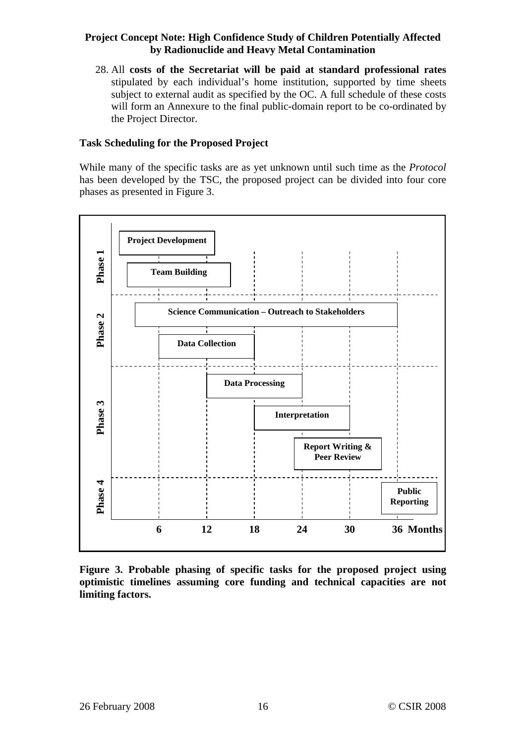28. All **costs of the Secretariat will be paid at standard professional rates** stipulated by each individual's home institution, supported by time sheets subject to external audit as specified by the OC. A full schedule of these costs will form an Annexure to the final public-domain report to be co-ordinated by the Project Director.

#### **Task Scheduling for the Proposed Project**

While many of the specific tasks are as yet unknown until such time as the *Protocol* has been developed by the TSC, the proposed project can be divided into four core phases as presented in Figure 3.



**Figure 3. Probable phasing of specific tasks for the proposed project using optimistic timelines assuming core funding and technical capacities are not limiting factors.**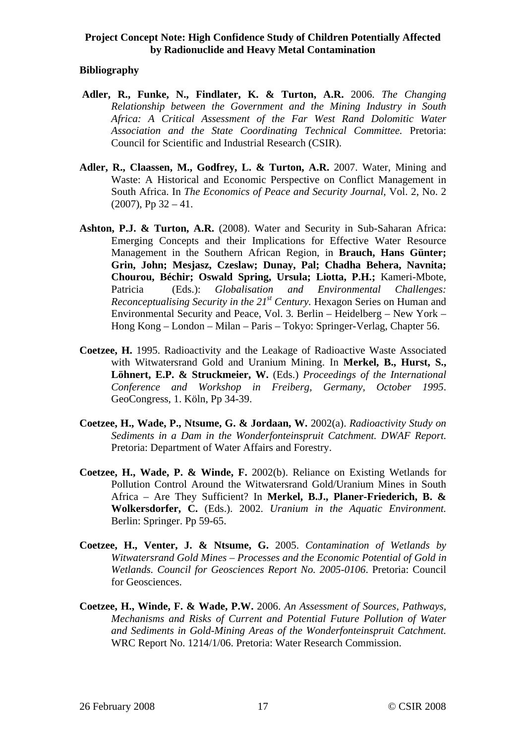#### **Bibliography**

- **Adler, R., Funke, N., Findlater, K. & Turton, A.R.** 2006. *The Changing Relationship between the Government and the Mining Industry in South Africa: A Critical Assessment of the Far West Rand Dolomitic Water Association and the State Coordinating Technical Committee.* Pretoria: Council for Scientific and Industrial Research (CSIR).
- **Adler, R., Claassen, M., Godfrey, L. & Turton, A.R.** 2007. Water, Mining and Waste: A Historical and Economic Perspective on Conflict Management in South Africa. In *The Economics of Peace and Security Journal*, Vol. 2, No. 2  $(2007)$ , Pp 32 – 41.
- **Ashton, P.J. & Turton, A.R.** (2008). Water and Security in Sub-Saharan Africa: Emerging Concepts and their Implications for Effective Water Resource Management in the Southern African Region, in **Brauch, Hans Günter; Grin, John; Mesjasz, Czeslaw; Dunay, Pal; Chadha Behera, Navnita; Chourou, Béchir; Oswald Spring, Ursula; Liotta, P.H.;** Kameri-Mbote, Patricia (Eds.): *Globalisation and Environmental Challenges: Reconceptualising Security in the 21<sup>st</sup> Century.* Hexagon Series on Human and Environmental Security and Peace, Vol. 3*.* Berlin – Heidelberg – New York – Hong Kong – London – Milan – Paris – Tokyo: Springer-Verlag, Chapter 56.
- **Coetzee, H.** 1995. Radioactivity and the Leakage of Radioactive Waste Associated with Witwatersrand Gold and Uranium Mining. In **Merkel, B., Hurst, S., Löhnert, E.P. & Struckmeier, W.** (Eds.) *Proceedings of the International Conference and Workshop in Freiberg, Germany, October 1995*. GeoCongress, 1. Köln, Pp 34-39.
- **Coetzee, H., Wade, P., Ntsume, G. & Jordaan, W.** 2002(a). *Radioactivity Study on Sediments in a Dam in the Wonderfonteinspruit Catchment. DWAF Report.* Pretoria: Department of Water Affairs and Forestry.
- **Coetzee, H., Wade, P. & Winde, F.** 2002(b). Reliance on Existing Wetlands for Pollution Control Around the Witwatersrand Gold/Uranium Mines in South Africa – Are They Sufficient? In **Merkel, B.J., Planer-Friederich, B. & Wolkersdorfer, C.** (Eds.). 2002. *Uranium in the Aquatic Environment.* Berlin: Springer. Pp 59-65.
- **Coetzee, H., Venter, J. & Ntsume, G.** 2005. *Contamination of Wetlands by Witwatersrand Gold Mines – Processes and the Economic Potential of Gold in Wetlands. Council for Geosciences Report No. 2005-0106*. Pretoria: Council for Geosciences.
- **Coetzee, H., Winde, F. & Wade, P.W.** 2006. *An Assessment of Sources, Pathways, Mechanisms and Risks of Current and Potential Future Pollution of Water and Sediments in Gold-Mining Areas of the Wonderfonteinspruit Catchment.* WRC Report No. 1214/1/06. Pretoria: Water Research Commission.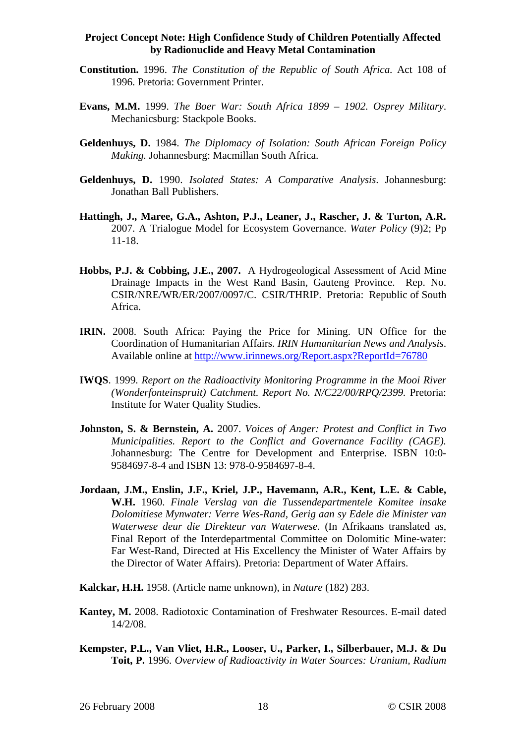- **Constitution.** 1996. *The Constitution of the Republic of South Africa.* Act 108 of 1996. Pretoria: Government Printer.
- **Evans, M.M.** 1999. *The Boer War: South Africa 1899 1902. Osprey Military*. Mechanicsburg: Stackpole Books.
- **Geldenhuys, D.** 1984. *The Diplomacy of Isolation: South African Foreign Policy Making.* Johannesburg: Macmillan South Africa.
- **Geldenhuys, D.** 1990. *Isolated States: A Comparative Analysis*. Johannesburg: Jonathan Ball Publishers.
- **Hattingh, J., Maree, G.A., Ashton, P.J., Leaner, J., Rascher, J. & Turton, A.R.** 2007. A Trialogue Model for Ecosystem Governance. *Water Policy* (9)2; Pp 11-18.
- **Hobbs, P.J. & Cobbing, J.E., 2007.** A Hydrogeological Assessment of Acid Mine Drainage Impacts in the West Rand Basin, Gauteng Province. Rep. No. CSIR/NRE/WR/ER/2007/0097/C. CSIR/THRIP. Pretoria: Republic of South Africa.
- **IRIN.** 2008. South Africa: Paying the Price for Mining. UN Office for the Coordination of Humanitarian Affairs. *IRIN Humanitarian News and Analysis*. Available online at http://www.irinnews.org/Report.aspx?ReportId=76780
- **IWQS**. 1999. *Report on the Radioactivity Monitoring Programme in the Mooi River (Wonderfonteinspruit) Catchment. Report No. N/C22/00/RPQ/2399.* Pretoria: Institute for Water Quality Studies.
- **Johnston, S. & Bernstein, A.** 2007. *Voices of Anger: Protest and Conflict in Two Municipalities. Report to the Conflict and Governance Facility (CAGE).* Johannesburg: The Centre for Development and Enterprise. ISBN 10:0- 9584697-8-4 and ISBN 13: 978-0-9584697-8-4.
- **Jordaan, J.M., Enslin, J.F., Kriel, J.P., Havemann, A.R., Kent, L.E. & Cable, W.H.** 1960. *Finale Verslag van die Tussendepartmentele Komitee insake Dolomitiese Mynwater: Verre Wes-Rand, Gerig aan sy Edele die Minister van Waterwese deur die Direkteur van Waterwese.* (In Afrikaans translated as, Final Report of the Interdepartmental Committee on Dolomitic Mine-water: Far West-Rand, Directed at His Excellency the Minister of Water Affairs by the Director of Water Affairs). Pretoria: Department of Water Affairs.
- **Kalckar, H.H.** 1958. (Article name unknown), in *Nature* (182) 283.
- **Kantey, M.** 2008. Radiotoxic Contamination of Freshwater Resources. E-mail dated 14/2/08.
- **Kempster, P.L., Van Vliet, H.R., Looser, U., Parker, I., Silberbauer, M.J. & Du Toit, P.** 1996. *Overview of Radioactivity in Water Sources: Uranium, Radium*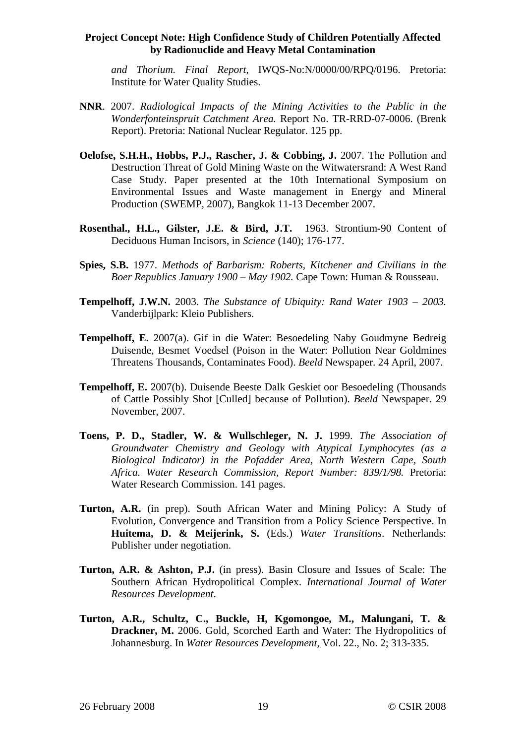*and Thorium. Final Report*, IWQS-No:N/0000/00/RPQ/0196. Pretoria: Institute for Water Quality Studies.

- **NNR**. 2007. *Radiological Impacts of the Mining Activities to the Public in the Wonderfonteinspruit Catchment Area.* Report No. TR-RRD-07-0006. (Brenk Report). Pretoria: National Nuclear Regulator. 125 pp.
- **Oelofse, S.H.H., Hobbs, P.J., Rascher, J. & Cobbing, J.** 2007. The Pollution and Destruction Threat of Gold Mining Waste on the Witwatersrand: A West Rand Case Study. Paper presented at the 10th International Symposium on Environmental Issues and Waste management in Energy and Mineral Production (SWEMP, 2007), Bangkok 11-13 December 2007.
- **Rosenthal., H.L., Gilster, J.E. & Bird, J.T.** 1963. Strontium-90 Content of Deciduous Human Incisors, in *Science* (140); 176-177.
- **Spies, S.B.** 1977. *Methods of Barbarism: Roberts, Kitchener and Civilians in the Boer Republics January 1900 – May 1902.* Cape Town: Human & Rousseau.
- **Tempelhoff, J.W.N.** 2003. *The Substance of Ubiquity: Rand Water 1903 2003.* Vanderbijlpark: Kleio Publishers.
- **Tempelhoff, E.** 2007(a). Gif in die Water: Besoedeling Naby Goudmyne Bedreig Duisende, Besmet Voedsel (Poison in the Water: Pollution Near Goldmines Threatens Thousands, Contaminates Food). *Beeld* Newspaper. 24 April, 2007.
- **Tempelhoff, E.** 2007(b). Duisende Beeste Dalk Geskiet oor Besoedeling (Thousands of Cattle Possibly Shot [Culled] because of Pollution). *Beeld* Newspaper. 29 November, 2007.
- **Toens, P. D., Stadler, W. & Wullschleger, N. J.** 1999. *The Association of Groundwater Chemistry and Geology with Atypical Lymphocytes (as a Biological Indicator) in the Pofadder Area, North Western Cape, South Africa. Water Research Commission, Report Number: 839/1/98.* Pretoria: Water Research Commission. 141 pages.
- **Turton, A.R.** (in prep). South African Water and Mining Policy: A Study of Evolution, Convergence and Transition from a Policy Science Perspective. In **Huitema, D. & Meijerink, S.** (Eds.) *Water Transitions*. Netherlands: Publisher under negotiation.
- **Turton, A.R. & Ashton, P.J.** (in press). Basin Closure and Issues of Scale: The Southern African Hydropolitical Complex. *International Journal of Water Resources Development*.
- **Turton, A.R., Schultz, C., Buckle, H, Kgomongoe, M., Malungani, T. & Drackner, M.** 2006. Gold, Scorched Earth and Water: The Hydropolitics of Johannesburg. In *Water Resources Development*, Vol. 22., No. 2; 313-335.